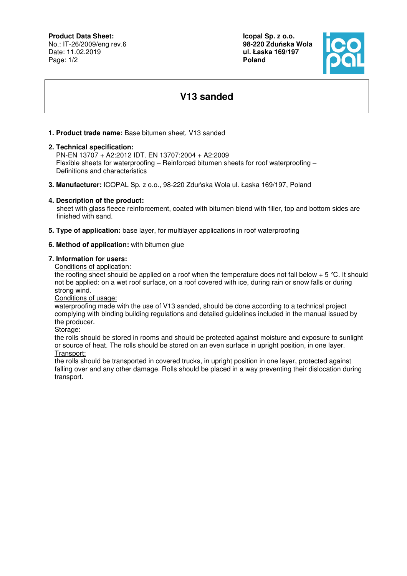**Product Data Sheet:**

No.: IT-26/2009/eng rev.6 Date: 11.02.2019 Page: 1/2

**Icopal Sp. z o.o. 98-220 Zdu**ń**ska Wola ul. Łaska 169/197 Poland** 



# **V13 sanded**

## **1. Product trade name:** Base bitumen sheet, V13 sanded

#### **2. Technical specification:**

 PN-EN 13707 + A2:2012 IDT. EN 13707:2004 + A2:2009 Flexible sheets for waterproofing – Reinforced bitumen sheets for roof waterproofing – Definitions and characteristics

**3. Manufacturer:** ICOPAL Sp. z o.o., 98-220 Zduńska Wola ul. Łaska 169/197, Poland

## **4. Description of the product:**

 sheet with glass fleece reinforcement, coated with bitumen blend with filler, top and bottom sides are finished with sand.

**5. Type of application:** base layer, for multilayer applications in roof waterproofing

## **6. Method of application:** with bitumen glue

#### **7. Information for users:**

Conditions of application:

the roofing sheet should be applied on a roof when the temperature does not fall below  $+ 5 \degree C$ . It should not be applied: on a wet roof surface, on a roof covered with ice, during rain or snow falls or during strong wind.

Conditions of usage:

waterproofing made with the use of V13 sanded, should be done according to a technical project complying with binding building regulations and detailed guidelines included in the manual issued by the producer.

Storage:

the rolls should be stored in rooms and should be protected against moisture and exposure to sunlight or source of heat. The rolls should be stored on an even surface in upright position, in one layer. Transport:

the rolls should be transported in covered trucks, in upright position in one layer, protected against falling over and any other damage. Rolls should be placed in a way preventing their dislocation during transport.